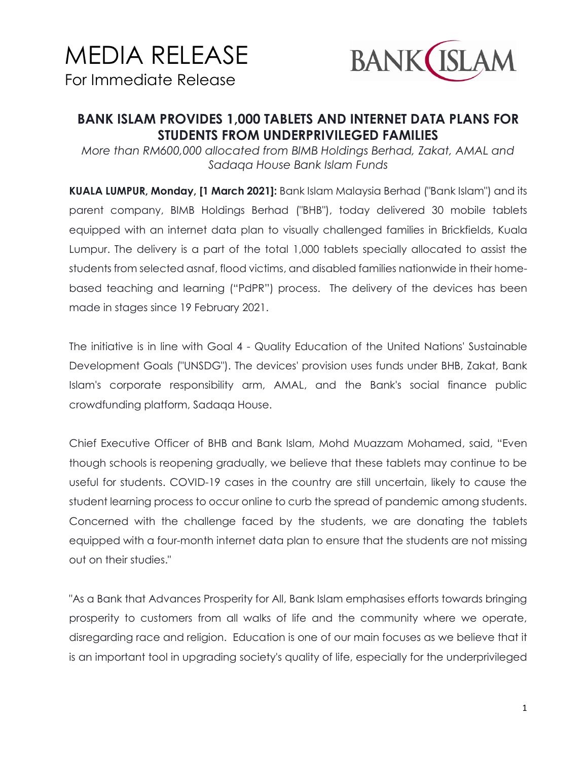## MEDIA RELEASE For Immediate Release



## **BANK ISLAM PROVIDES 1,000 TABLETS AND INTERNET DATA PLANS FOR STUDENTS FROM UNDERPRIVILEGED FAMILIES**

*More than RM600,000 allocated from BIMB Holdings Berhad, Zakat, AMAL and Sadaqa House Bank Islam Funds*

**KUALA LUMPUR, Monday, [1 March 2021]:** Bank Islam Malaysia Berhad ("Bank Islam") and its parent company, BIMB Holdings Berhad ("BHB"), today delivered 30 mobile tablets equipped with an internet data plan to visually challenged families in Brickfields, Kuala Lumpur. The delivery is a part of the total 1,000 tablets specially allocated to assist the students from selected asnaf, flood victims, and disabled families nationwide in their homebased teaching and learning ("PdPR") process. The delivery of the devices has been made in stages since 19 February 2021.

The initiative is in line with Goal 4 - Quality Education of the United Nations' Sustainable Development Goals ("UNSDG"). The devices' provision uses funds under BHB, Zakat, Bank Islam's corporate responsibility arm, AMAL, and the Bank's social finance public crowdfunding platform, Sadaqa House.

Chief Executive Officer of BHB and Bank Islam, Mohd Muazzam Mohamed, said, "Even though schools is reopening gradually, we believe that these tablets may continue to be useful for students. COVID-19 cases in the country are still uncertain, likely to cause the student learning process to occur online to curb the spread of pandemic among students. Concerned with the challenge faced by the students, we are donating the tablets equipped with a four-month internet data plan to ensure that the students are not missing out on their studies."

"As a Bank that Advances Prosperity for All, Bank Islam emphasises efforts towards bringing prosperity to customers from all walks of life and the community where we operate, disregarding race and religion. Education is one of our main focuses as we believe that it is an important tool in upgrading society's quality of life, especially for the underprivileged